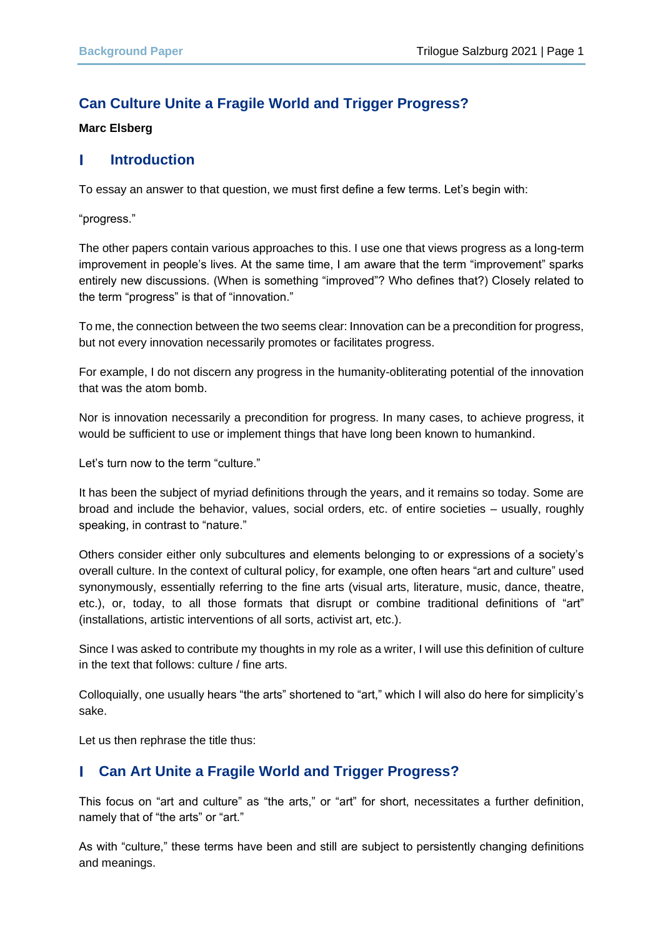# **Can Culture Unite a Fragile World and Trigger Progress?**

### **Marc Elsberg**

#### **Introduction** г

To essay an answer to that question, we must first define a few terms. Let's begin with:

"progress."

The other papers contain various approaches to this. I use one that views progress as a long-term improvement in people's lives. At the same time, I am aware that the term "improvement" sparks entirely new discussions. (When is something "improved"? Who defines that?) Closely related to the term "progress" is that of "innovation."

To me, the connection between the two seems clear: Innovation can be a precondition for progress, but not every innovation necessarily promotes or facilitates progress.

For example, I do not discern any progress in the humanity-obliterating potential of the innovation that was the atom bomb.

Nor is innovation necessarily a precondition for progress. In many cases, to achieve progress, it would be sufficient to use or implement things that have long been known to humankind.

Let's turn now to the term "culture."

It has been the subject of myriad definitions through the years, and it remains so today. Some are broad and include the behavior, values, social orders, etc. of entire societies – usually, roughly speaking, in contrast to "nature."

Others consider either only subcultures and elements belonging to or expressions of a society's overall culture. In the context of cultural policy, for example, one often hears "art and culture" used synonymously, essentially referring to the fine arts (visual arts, literature, music, dance, theatre, etc.), or, today, to all those formats that disrupt or combine traditional definitions of "art" (installations, artistic interventions of all sorts, activist art, etc.).

Since I was asked to contribute my thoughts in my role as a writer, I will use this definition of culture in the text that follows: culture / fine arts.

Colloquially, one usually hears "the arts" shortened to "art," which I will also do here for simplicity's sake.

Let us then rephrase the title thus:

#### **Can Art Unite a Fragile World and Trigger Progress?** Н

This focus on "art and culture" as "the arts," or "art" for short, necessitates a further definition, namely that of "the arts" or "art."

As with "culture," these terms have been and still are subject to persistently changing definitions and meanings.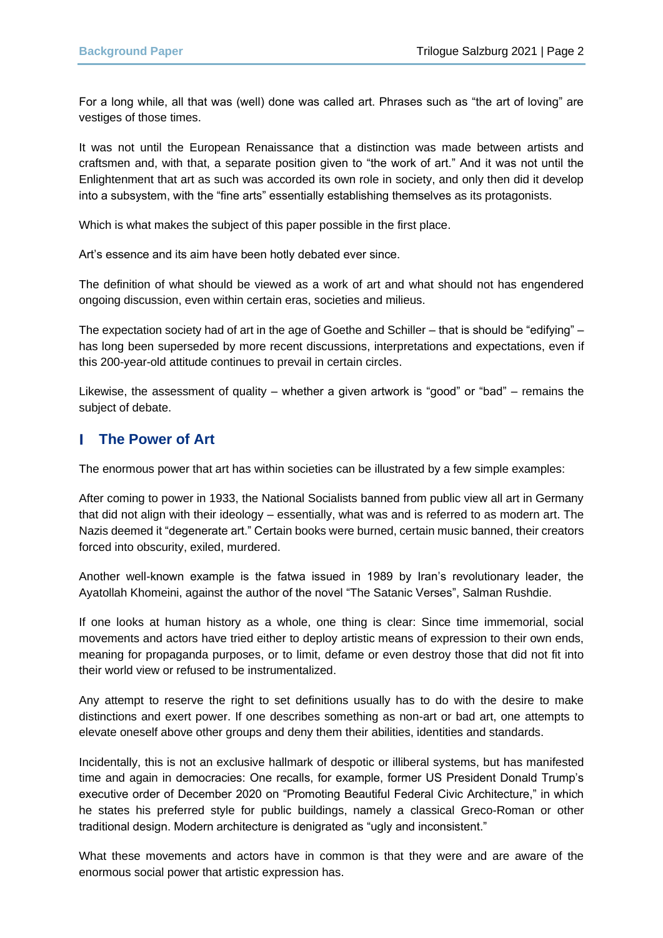For a long while, all that was (well) done was called art. Phrases such as "the art of loving" are vestiges of those times.

It was not until the European Renaissance that a distinction was made between artists and craftsmen and, with that, a separate position given to "the work of art." And it was not until the Enlightenment that art as such was accorded its own role in society, and only then did it develop into a subsystem, with the "fine arts" essentially establishing themselves as its protagonists.

Which is what makes the subject of this paper possible in the first place.

Art's essence and its aim have been hotly debated ever since.

The definition of what should be viewed as a work of art and what should not has engendered ongoing discussion, even within certain eras, societies and milieus.

The expectation society had of art in the age of Goethe and Schiller – that is should be "edifying" – has long been superseded by more recent discussions, interpretations and expectations, even if this 200-year-old attitude continues to prevail in certain circles.

Likewise, the assessment of quality – whether a given artwork is "good" or "bad" – remains the subject of debate.

#### **The Power of Art** Ш

The enormous power that art has within societies can be illustrated by a few simple examples:

After coming to power in 1933, the National Socialists banned from public view all art in Germany that did not align with their ideology – essentially, what was and is referred to as modern art. The Nazis deemed it "degenerate art." Certain books were burned, certain music banned, their creators forced into obscurity, exiled, murdered.

Another well-known example is the fatwa issued in 1989 by Iran's revolutionary leader, the Ayatollah Khomeini, against the author of the novel "The Satanic Verses", Salman Rushdie.

If one looks at human history as a whole, one thing is clear: Since time immemorial, social movements and actors have tried either to deploy artistic means of expression to their own ends, meaning for propaganda purposes, or to limit, defame or even destroy those that did not fit into their world view or refused to be instrumentalized.

Any attempt to reserve the right to set definitions usually has to do with the desire to make distinctions and exert power. If one describes something as non-art or bad art, one attempts to elevate oneself above other groups and deny them their abilities, identities and standards.

Incidentally, this is not an exclusive hallmark of despotic or illiberal systems, but has manifested time and again in democracies: One recalls, for example, former US President Donald Trump's executive order of December 2020 on "Promoting Beautiful Federal Civic Architecture," in which he states his preferred style for public buildings, namely a classical Greco-Roman or other traditional design. Modern architecture is denigrated as "ugly and inconsistent."

What these movements and actors have in common is that they were and are aware of the enormous social power that artistic expression has.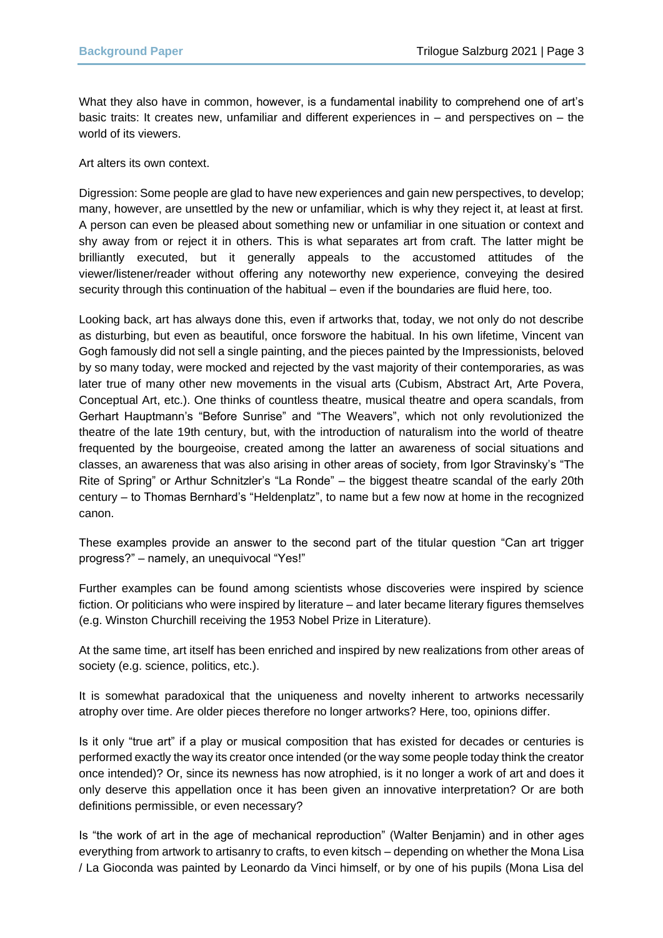What they also have in common, however, is a fundamental inability to comprehend one of art's basic traits: It creates new, unfamiliar and different experiences in – and perspectives on – the world of its viewers.

Art alters its own context.

Digression: Some people are glad to have new experiences and gain new perspectives, to develop; many, however, are unsettled by the new or unfamiliar, which is why they reject it, at least at first. A person can even be pleased about something new or unfamiliar in one situation or context and shy away from or reject it in others. This is what separates art from craft. The latter might be brilliantly executed, but it generally appeals to the accustomed attitudes of the viewer/listener/reader without offering any noteworthy new experience, conveying the desired security through this continuation of the habitual – even if the boundaries are fluid here, too.

Looking back, art has always done this, even if artworks that, today, we not only do not describe as disturbing, but even as beautiful, once forswore the habitual. In his own lifetime, Vincent van Gogh famously did not sell a single painting, and the pieces painted by the Impressionists, beloved by so many today, were mocked and rejected by the vast majority of their contemporaries, as was later true of many other new movements in the visual arts (Cubism, Abstract Art, Arte Povera, Conceptual Art, etc.). One thinks of countless theatre, musical theatre and opera scandals, from Gerhart Hauptmann's "Before Sunrise" and "The Weavers", which not only revolutionized the theatre of the late 19th century, but, with the introduction of naturalism into the world of theatre frequented by the bourgeoise, created among the latter an awareness of social situations and classes, an awareness that was also arising in other areas of society, from Igor Stravinsky's "The Rite of Spring" or Arthur Schnitzler's "La Ronde" – the biggest theatre scandal of the early 20th century – to Thomas Bernhard's "Heldenplatz", to name but a few now at home in the recognized canon.

These examples provide an answer to the second part of the titular question "Can art trigger progress?" – namely, an unequivocal "Yes!"

Further examples can be found among scientists whose discoveries were inspired by science fiction. Or politicians who were inspired by literature – and later became literary figures themselves (e.g. Winston Churchill receiving the 1953 Nobel Prize in Literature).

At the same time, art itself has been enriched and inspired by new realizations from other areas of society (e.g. science, politics, etc.).

It is somewhat paradoxical that the uniqueness and novelty inherent to artworks necessarily atrophy over time. Are older pieces therefore no longer artworks? Here, too, opinions differ.

Is it only "true art" if a play or musical composition that has existed for decades or centuries is performed exactly the way its creator once intended (or the way some people today think the creator once intended)? Or, since its newness has now atrophied, is it no longer a work of art and does it only deserve this appellation once it has been given an innovative interpretation? Or are both definitions permissible, or even necessary?

Is "the work of art in the age of mechanical reproduction" (Walter Benjamin) and in other ages everything from artwork to artisanry to crafts, to even kitsch – depending on whether the Mona Lisa / La Gioconda was painted by Leonardo da Vinci himself, or by one of his pupils (Mona Lisa del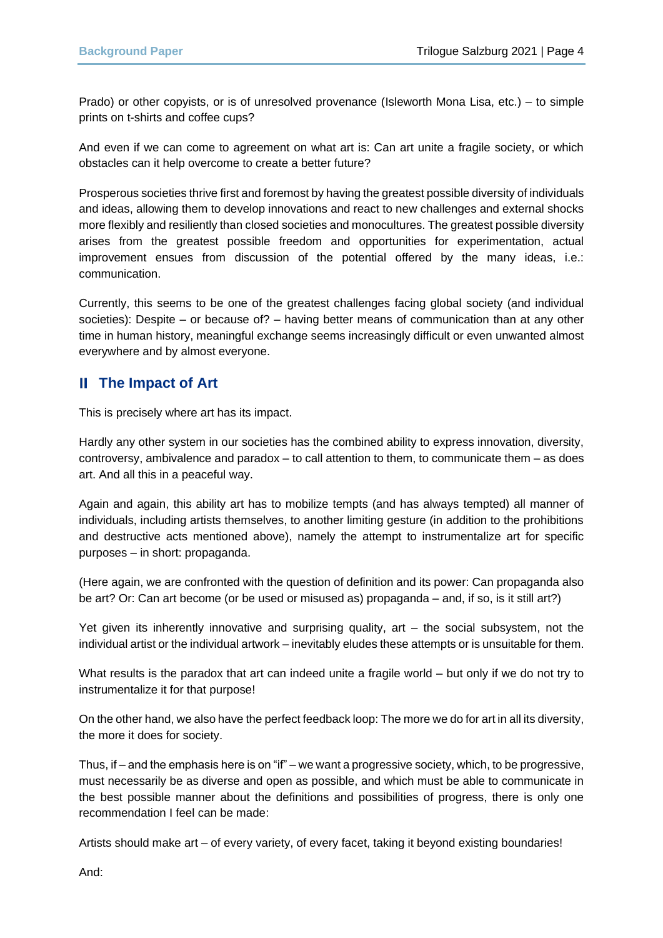Prado) or other copyists, or is of unresolved provenance (Isleworth Mona Lisa, etc.) – to simple prints on t-shirts and coffee cups?

And even if we can come to agreement on what art is: Can art unite a fragile society, or which obstacles can it help overcome to create a better future?

Prosperous societies thrive first and foremost by having the greatest possible diversity of individuals and ideas, allowing them to develop innovations and react to new challenges and external shocks more flexibly and resiliently than closed societies and monocultures. The greatest possible diversity arises from the greatest possible freedom and opportunities for experimentation, actual improvement ensues from discussion of the potential offered by the many ideas, i.e.: communication.

Currently, this seems to be one of the greatest challenges facing global society (and individual societies): Despite – or because of? – having better means of communication than at any other time in human history, meaningful exchange seems increasingly difficult or even unwanted almost everywhere and by almost everyone.

## **The Impact of Art**

This is precisely where art has its impact.

Hardly any other system in our societies has the combined ability to express innovation, diversity, controversy, ambivalence and paradox – to call attention to them, to communicate them – as does art. And all this in a peaceful way.

Again and again, this ability art has to mobilize tempts (and has always tempted) all manner of individuals, including artists themselves, to another limiting gesture (in addition to the prohibitions and destructive acts mentioned above), namely the attempt to instrumentalize art for specific purposes – in short: propaganda.

(Here again, we are confronted with the question of definition and its power: Can propaganda also be art? Or: Can art become (or be used or misused as) propaganda – and, if so, is it still art?)

Yet given its inherently innovative and surprising quality, art – the social subsystem, not the individual artist or the individual artwork – inevitably eludes these attempts or is unsuitable for them.

What results is the paradox that art can indeed unite a fragile world – but only if we do not try to instrumentalize it for that purpose!

On the other hand, we also have the perfect feedback loop: The more we do for art in all its diversity, the more it does for society.

Thus, if – and the emphasis here is on "if" – we want a progressive society, which, to be progressive, must necessarily be as diverse and open as possible, and which must be able to communicate in the best possible manner about the definitions and possibilities of progress, there is only one recommendation I feel can be made:

Artists should make art – of every variety, of every facet, taking it beyond existing boundaries!

And: